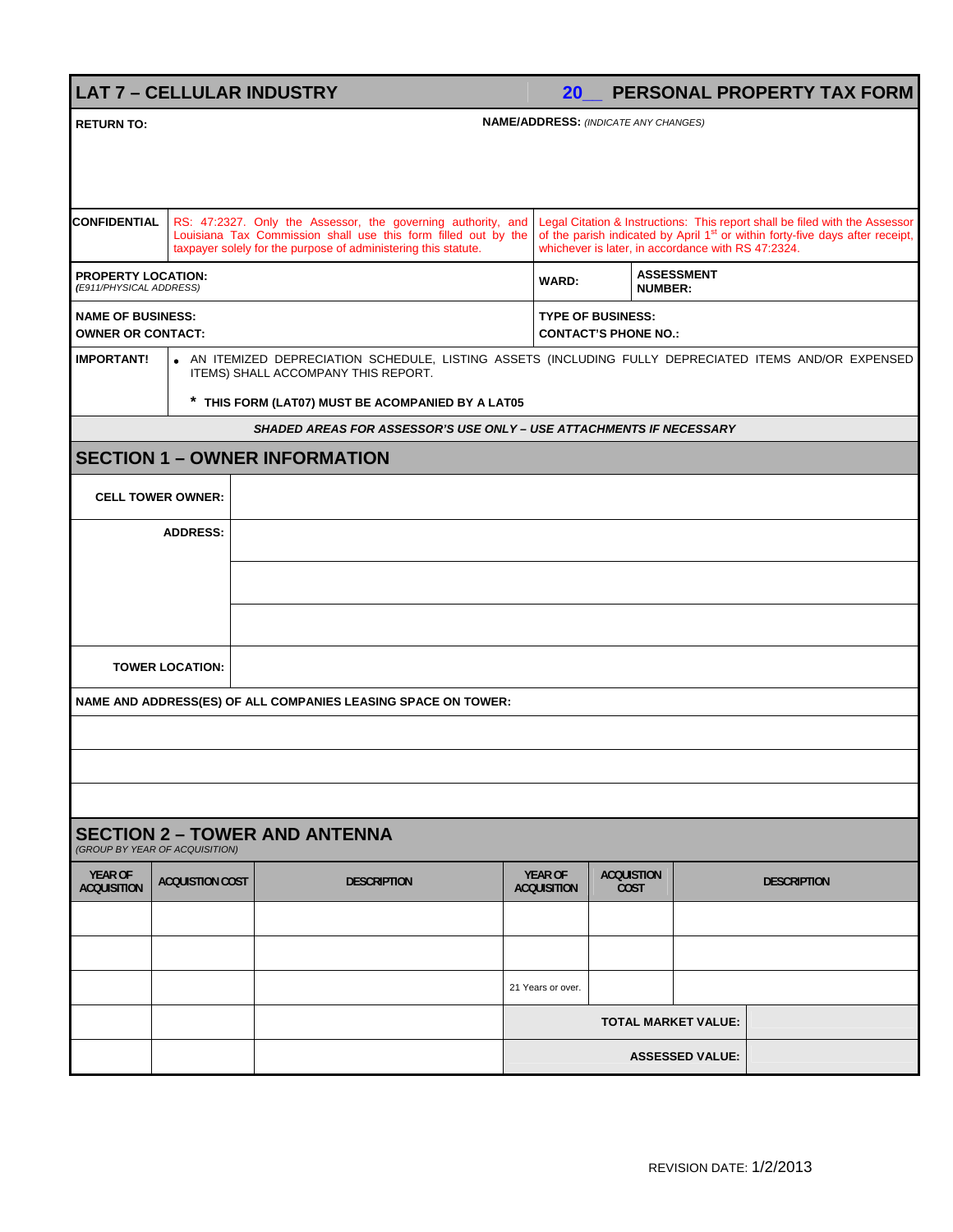**LAT 7 – CELLULAR INDUSTRY 20\_\_ PERSONAL PROPERTY TAX FORM**

| <b>RETURN TO:</b>                                                      |                                                      | <b>NAME/ADDRESS: (INDICATE ANY CHANGES)</b>                                                                                                                                                      |  |                                                                                                                                                                                                                                |                                                         |                                     |                    |  |  |  |  |
|------------------------------------------------------------------------|------------------------------------------------------|--------------------------------------------------------------------------------------------------------------------------------------------------------------------------------------------------|--|--------------------------------------------------------------------------------------------------------------------------------------------------------------------------------------------------------------------------------|---------------------------------------------------------|-------------------------------------|--------------------|--|--|--|--|
|                                                                        |                                                      |                                                                                                                                                                                                  |  |                                                                                                                                                                                                                                |                                                         |                                     |                    |  |  |  |  |
|                                                                        |                                                      |                                                                                                                                                                                                  |  |                                                                                                                                                                                                                                |                                                         |                                     |                    |  |  |  |  |
| <b>CONFIDENTIAL</b>                                                    |                                                      | RS: 47:2327. Only the Assessor, the governing authority, and<br>Louisiana Tax Commission shall use this form filled out by the<br>taxpayer solely for the purpose of administering this statute. |  | Legal Citation & Instructions: This report shall be filed with the Assessor<br>of the parish indicated by April 1 <sup>st</sup> or within forty-five days after receipt,<br>whichever is later, in accordance with RS 47:2324. |                                                         |                                     |                    |  |  |  |  |
|                                                                        | <b>PROPERTY LOCATION:</b><br>(E911/PHYSICAL ADDRESS) |                                                                                                                                                                                                  |  |                                                                                                                                                                                                                                |                                                         | <b>ASSESSMENT</b><br><b>NUMBER:</b> |                    |  |  |  |  |
| <b>NAME OF BUSINESS:</b><br><b>OWNER OR CONTACT:</b>                   |                                                      |                                                                                                                                                                                                  |  |                                                                                                                                                                                                                                | <b>TYPE OF BUSINESS:</b><br><b>CONTACT'S PHONE NO.:</b> |                                     |                    |  |  |  |  |
| <b>IMPORTANT!</b>                                                      |                                                      | • AN ITEMIZED DEPRECIATION SCHEDULE, LISTING ASSETS (INCLUDING FULLY DEPRECIATED ITEMS AND/OR EXPENSED<br>ITEMS) SHALL ACCOMPANY THIS REPORT.                                                    |  |                                                                                                                                                                                                                                |                                                         |                                     |                    |  |  |  |  |
|                                                                        | * THIS FORM (LAT07) MUST BE ACOMPANIED BY A LAT05    |                                                                                                                                                                                                  |  |                                                                                                                                                                                                                                |                                                         |                                     |                    |  |  |  |  |
| SHADED AREAS FOR ASSESSOR'S USE ONLY - USE ATTACHMENTS IF NECESSARY    |                                                      |                                                                                                                                                                                                  |  |                                                                                                                                                                                                                                |                                                         |                                     |                    |  |  |  |  |
| <b>SECTION 1 - OWNER INFORMATION</b>                                   |                                                      |                                                                                                                                                                                                  |  |                                                                                                                                                                                                                                |                                                         |                                     |                    |  |  |  |  |
| <b>CELL TOWER OWNER:</b>                                               |                                                      |                                                                                                                                                                                                  |  |                                                                                                                                                                                                                                |                                                         |                                     |                    |  |  |  |  |
|                                                                        | <b>ADDRESS:</b>                                      |                                                                                                                                                                                                  |  |                                                                                                                                                                                                                                |                                                         |                                     |                    |  |  |  |  |
|                                                                        |                                                      |                                                                                                                                                                                                  |  |                                                                                                                                                                                                                                |                                                         |                                     |                    |  |  |  |  |
|                                                                        |                                                      |                                                                                                                                                                                                  |  |                                                                                                                                                                                                                                |                                                         |                                     |                    |  |  |  |  |
|                                                                        | <b>TOWER LOCATION:</b>                               |                                                                                                                                                                                                  |  |                                                                                                                                                                                                                                |                                                         |                                     |                    |  |  |  |  |
|                                                                        |                                                      | NAME AND ADDRESS(ES) OF ALL COMPANIES LEASING SPACE ON TOWER:                                                                                                                                    |  |                                                                                                                                                                                                                                |                                                         |                                     |                    |  |  |  |  |
|                                                                        |                                                      |                                                                                                                                                                                                  |  |                                                                                                                                                                                                                                |                                                         |                                     |                    |  |  |  |  |
|                                                                        |                                                      |                                                                                                                                                                                                  |  |                                                                                                                                                                                                                                |                                                         |                                     |                    |  |  |  |  |
|                                                                        |                                                      |                                                                                                                                                                                                  |  |                                                                                                                                                                                                                                |                                                         |                                     |                    |  |  |  |  |
| <b>SECTION 2 - TOWER AND ANTENNA</b><br>(GROUP BY YEAR OF ACQUISITION) |                                                      |                                                                                                                                                                                                  |  |                                                                                                                                                                                                                                |                                                         |                                     |                    |  |  |  |  |
| <b>YEAR OF</b><br><b>ACQUISITION</b>                                   | <b>ACQUISTION COST</b>                               | <b>DESCRIPTION</b>                                                                                                                                                                               |  | <b>YEAR OF</b><br><b>ACQUISITION</b>                                                                                                                                                                                           | <b>ACQUISTION</b><br><b>COST</b>                        |                                     | <b>DESCRIPTION</b> |  |  |  |  |
|                                                                        |                                                      |                                                                                                                                                                                                  |  |                                                                                                                                                                                                                                |                                                         |                                     |                    |  |  |  |  |
|                                                                        |                                                      |                                                                                                                                                                                                  |  |                                                                                                                                                                                                                                |                                                         |                                     |                    |  |  |  |  |
|                                                                        |                                                      |                                                                                                                                                                                                  |  | 21 Years or over.                                                                                                                                                                                                              |                                                         |                                     |                    |  |  |  |  |
|                                                                        |                                                      |                                                                                                                                                                                                  |  | <b>TOTAL MARKET VALUE:</b>                                                                                                                                                                                                     |                                                         |                                     |                    |  |  |  |  |
|                                                                        |                                                      |                                                                                                                                                                                                  |  |                                                                                                                                                                                                                                | <b>ASSESSED VALUE:</b>                                  |                                     |                    |  |  |  |  |